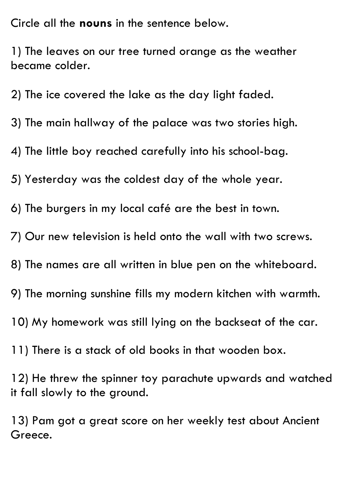Circle all the **nouns** in the sentence below.

1) The leaves on our tree turned orange as the weather became colder.

2) The ice covered the lake as the day light faded.

3) The main hallway of the palace was two stories high.

4) The little boy reached carefully into his school-bag.

5) Yesterday was the coldest day of the whole year.

6) The burgers in my local café are the best in town.

7) Our new television is held onto the wall with two screws.

8) The names are all written in blue pen on the whiteboard.

9) The morning sunshine fills my modern kitchen with warmth.

10) My homework was still lying on the backseat of the car.

11) There is a stack of old books in that wooden box.

12) He threw the spinner toy parachute upwards and watched it fall slowly to the ground.

13) Pam got a great score on her weekly test about Ancient Greece.